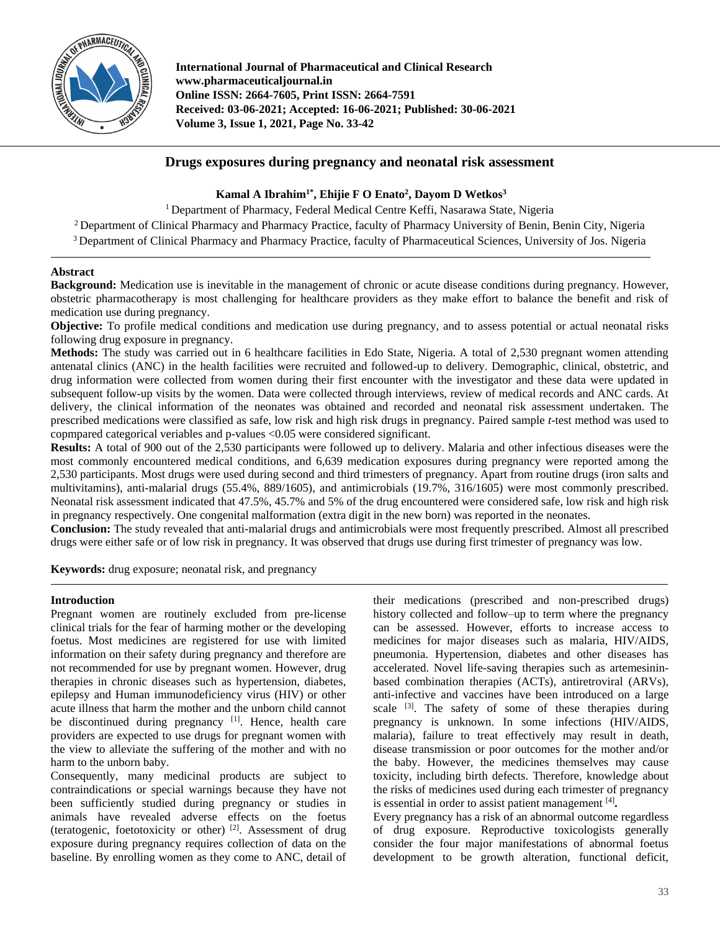

**International Journal of Pharmaceutical and Clinical Research www.pharmaceuticaljournal.in Online ISSN: 2664-7605, Print ISSN: 2664-7591 Received: 03-06-2021; Accepted: 16-06-2021; Published: 30-06-2021 Volume 3, Issue 1, 2021, Page No. 33-42**

# **Drugs exposures during pregnancy and neonatal risk assessment**

## **Kamal A Ibrahim1\*, Ehijie F O Enato<sup>2</sup> , Dayom D Wetkos<sup>3</sup>**

<sup>1</sup> Department of Pharmacy, Federal Medical Centre Keffi, Nasarawa State, Nigeria

<sup>2</sup> Department of Clinical Pharmacy and Pharmacy Practice, faculty of Pharmacy University of Benin, Benin City, Nigeria

<sup>3</sup> Department of Clinical Pharmacy and Pharmacy Practice, faculty of Pharmaceutical Sciences, University of Jos. Nigeria

#### **Abstract**

**Background:** Medication use is inevitable in the management of chronic or acute disease conditions during pregnancy. However, obstetric pharmacotherapy is most challenging for healthcare providers as they make effort to balance the benefit and risk of medication use during pregnancy.

**Objective:** To profile medical conditions and medication use during pregnancy, and to assess potential or actual neonatal risks following drug exposure in pregnancy.

**Methods:** The study was carried out in 6 healthcare facilities in Edo State, Nigeria. A total of 2,530 pregnant women attending antenatal clinics (ANC) in the health facilities were recruited and followed-up to delivery. Demographic, clinical, obstetric, and drug information were collected from women during their first encounter with the investigator and these data were updated in subsequent follow-up visits by the women. Data were collected through interviews, review of medical records and ANC cards. At delivery, the clinical information of the neonates was obtained and recorded and neonatal risk assessment undertaken. The prescribed medications were classified as safe, low risk and high risk drugs in pregnancy. Paired sample *t*-test method was used to copmpared categorical veriables and p-values <0.05 were considered significant.

**Results:** A total of 900 out of the 2,530 participants were followed up to delivery. Malaria and other infectious diseases were the most commonly encountered medical conditions, and 6,639 medication exposures during pregnancy were reported among the 2,530 participants. Most drugs were used during second and third trimesters of pregnancy. Apart from routine drugs (iron salts and multivitamins), anti-malarial drugs (55.4%, 889/1605), and antimicrobials (19.7%, 316/1605) were most commonly prescribed. Neonatal risk assessment indicated that 47.5%, 45.7% and 5% of the drug encountered were considered safe, low risk and high risk in pregnancy respectively. One congenital malformation (extra digit in the new born) was reported in the neonates.

**Conclusion:** The study revealed that anti-malarial drugs and antimicrobials were most frequently prescribed. Almost all prescribed drugs were either safe or of low risk in pregnancy. It was observed that drugs use during first trimester of pregnancy was low.

**Keywords:** drug exposure; neonatal risk, and pregnancy

#### **Introduction**

Pregnant women are routinely excluded from pre-license clinical trials for the fear of harming mother or the developing foetus. Most medicines are registered for use with limited information on their safety during pregnancy and therefore are not recommended for use by pregnant women. However, drug therapies in chronic diseases such as hypertension, diabetes, epilepsy and Human immunodeficiency virus (HIV) or other acute illness that harm the mother and the unborn child cannot be discontinued during pregnancy  $[1]$ . Hence, health care providers are expected to use drugs for pregnant women with the view to alleviate the suffering of the mother and with no harm to the unborn baby.

Consequently, many medicinal products are subject to contraindications or special warnings because they have not been sufficiently studied during pregnancy or studies in animals have revealed adverse effects on the foetus (teratogenic, foetotoxicity or other)<sup>[2]</sup>. Assessment of drug exposure during pregnancy requires collection of data on the baseline. By enrolling women as they come to ANC, detail of

their medications (prescribed and non-prescribed drugs) history collected and follow–up to term where the pregnancy can be assessed. However, efforts to increase access to medicines for major diseases such as malaria, HIV/AIDS, pneumonia. Hypertension, diabetes and other diseases has accelerated. Novel life-saving therapies such as artemesininbased combination therapies (ACTs), antiretroviral (ARVs), anti-infective and vaccines have been introduced on a large scale <sup>[3]</sup>. The safety of some of these therapies during pregnancy is unknown. In some infections (HIV/AIDS, malaria), failure to treat effectively may result in death, disease transmission or poor outcomes for the mother and/or the baby. However, the medicines themselves may cause toxicity, including birth defects. Therefore, knowledge about the risks of medicines used during each trimester of pregnancy is essential in order to assist patient management [4] **.**

Every pregnancy has a risk of an abnormal outcome regardless of drug exposure. Reproductive toxicologists generally consider the four major manifestations of abnormal foetus development to be growth alteration, functional deficit,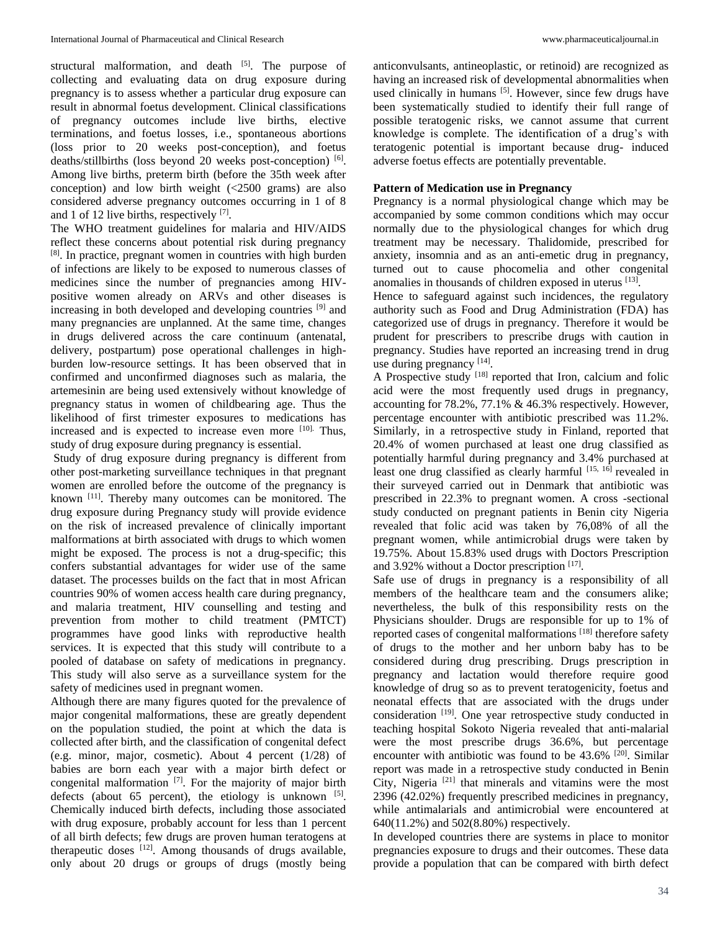structural malformation, and death  $[5]$ . The purpose of collecting and evaluating data on drug exposure during pregnancy is to assess whether a particular drug exposure can result in abnormal foetus development. Clinical classifications of pregnancy outcomes include live births, elective terminations, and foetus losses, i.e., spontaneous abortions (loss prior to 20 weeks post-conception), and foetus deaths/stillbirths (loss beyond 20 weeks post-conception) [6]. Among live births, preterm birth (before the 35th week after conception) and low birth weight (<2500 grams) are also considered adverse pregnancy outcomes occurring in 1 of 8 and 1 of 12 live births, respectively [7].

The WHO treatment guidelines for malaria and HIV/AIDS reflect these concerns about potential risk during pregnancy [8] . In practice, pregnant women in countries with high burden of infections are likely to be exposed to numerous classes of medicines since the number of pregnancies among HIVpositive women already on ARVs and other diseases is increasing in both developed and developing countries [9] and many pregnancies are unplanned. At the same time, changes in drugs delivered across the care continuum (antenatal, delivery, postpartum) pose operational challenges in highburden low-resource settings. It has been observed that in confirmed and unconfirmed diagnoses such as malaria, the artemesinin are being used extensively without knowledge of pregnancy status in women of childbearing age. Thus the likelihood of first trimester exposures to medications has increased and is expected to increase even more [10]. Thus, study of drug exposure during pregnancy is essential.

Study of drug exposure during pregnancy is different from other post-marketing surveillance techniques in that pregnant women are enrolled before the outcome of the pregnancy is known [11]. Thereby many outcomes can be monitored. The drug exposure during Pregnancy study will provide evidence on the risk of increased prevalence of clinically important malformations at birth associated with drugs to which women might be exposed. The process is not a drug-specific; this confers substantial advantages for wider use of the same dataset. The processes builds on the fact that in most African countries 90% of women access health care during pregnancy, and malaria treatment, HIV counselling and testing and prevention from mother to child treatment (PMTCT) programmes have good links with reproductive health services. It is expected that this study will contribute to a pooled of database on safety of medications in pregnancy. This study will also serve as a surveillance system for the safety of medicines used in pregnant women.

Although there are many figures quoted for the prevalence of major congenital malformations, these are greatly dependent on the population studied, the point at which the data is collected after birth, and the classification of congenital defect (e.g. minor, major, cosmetic). About 4 percent (1/28) of babies are born each year with a major birth defect or congenital malformation  $[7]$ . For the majority of major birth defects (about  $65$  percent), the etiology is unknown  $[5]$ . Chemically induced birth defects, including those associated with drug exposure, probably account for less than 1 percent of all birth defects; few drugs are proven human teratogens at therapeutic doses  $[12]$ . Among thousands of drugs available, only about 20 drugs or groups of drugs (mostly being

anticonvulsants, antineoplastic, or retinoid) are recognized as having an increased risk of developmental abnormalities when used clinically in humans [5]. However, since few drugs have been systematically studied to identify their full range of possible teratogenic risks, we cannot assume that current knowledge is complete. The identification of a drug's with teratogenic potential is important because drug- induced adverse foetus effects are potentially preventable.

#### **Pattern of Medication use in Pregnancy**

Pregnancy is a normal physiological change which may be accompanied by some common conditions which may occur normally due to the physiological changes for which drug treatment may be necessary. Thalidomide, prescribed for anxiety, insomnia and as an anti-emetic drug in pregnancy, turned out to cause phocomelia and other congenital anomalies in thousands of children exposed in uterus [13].

Hence to safeguard against such incidences, the regulatory authority such as Food and Drug Administration (FDA) has categorized use of drugs in pregnancy. Therefore it would be prudent for prescribers to prescribe drugs with caution in pregnancy. Studies have reported an increasing trend in drug use during pregnancy [14].

A Prospective study [18] reported that Iron, calcium and folic acid were the most frequently used drugs in pregnancy, accounting for 78.2%, 77.1% & 46.3% respectively. However, percentage encounter with antibiotic prescribed was 11.2%. Similarly, in a retrospective study in Finland, reported that 20.4% of women purchased at least one drug classified as potentially harmful during pregnancy and 3.4% purchased at least one drug classified as clearly harmful [15, 16] revealed in their surveyed carried out in Denmark that antibiotic was prescribed in 22.3% to pregnant women. A cross -sectional study conducted on pregnant patients in Benin city Nigeria revealed that folic acid was taken by 76,08% of all the pregnant women, while antimicrobial drugs were taken by 19.75%. About 15.83% used drugs with Doctors Prescription and 3.92% without a Doctor prescription [17].

Safe use of drugs in pregnancy is a responsibility of all members of the healthcare team and the consumers alike; nevertheless, the bulk of this responsibility rests on the Physicians shoulder. Drugs are responsible for up to 1% of reported cases of congenital malformations<sup>[18]</sup> therefore safety of drugs to the mother and her unborn baby has to be considered during drug prescribing. Drugs prescription in pregnancy and lactation would therefore require good knowledge of drug so as to prevent teratogenicity, foetus and neonatal effects that are associated with the drugs under consideration <sup>[19]</sup>. One year retrospective study conducted in teaching hospital Sokoto Nigeria revealed that anti-malarial were the most prescribe drugs 36.6%, but percentage encounter with antibiotic was found to be 43.6% <sup>[20]</sup>. Similar report was made in a retrospective study conducted in Benin City, Nigeria<sup>[21]</sup> that minerals and vitamins were the most 2396 (42.02%) frequently prescribed medicines in pregnancy, while antimalarials and antimicrobial were encountered at 640(11.2%) and 502(8.80%) respectively.

In developed countries there are systems in place to monitor pregnancies exposure to drugs and their outcomes. These data provide a population that can be compared with birth defect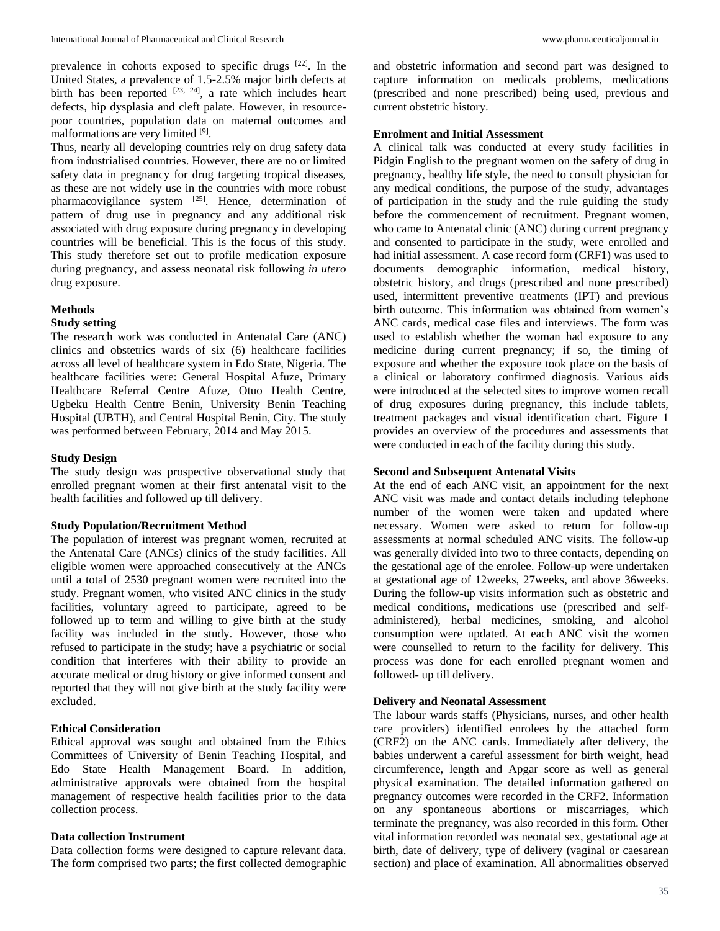prevalence in cohorts exposed to specific drugs [22]. In the United States, a prevalence of 1.5-2.5% major birth defects at birth has been reported  $[23, 24]$ , a rate which includes heart defects, hip dysplasia and cleft palate. However, in resourcepoor countries, population data on maternal outcomes and malformations are very limited [9].

Thus, nearly all developing countries rely on drug safety data from industrialised countries. However, there are no or limited safety data in pregnancy for drug targeting tropical diseases, as these are not widely use in the countries with more robust pharmacovigilance system [25]. Hence, determination of pattern of drug use in pregnancy and any additional risk associated with drug exposure during pregnancy in developing countries will be beneficial. This is the focus of this study. This study therefore set out to profile medication exposure during pregnancy, and assess neonatal risk following *in utero*  drug exposure.

# **Methods**

#### **Study setting**

The research work was conducted in Antenatal Care (ANC) clinics and obstetrics wards of six (6) healthcare facilities across all level of healthcare system in Edo State, Nigeria. The healthcare facilities were: General Hospital Afuze, Primary Healthcare Referral Centre Afuze, Otuo Health Centre, Ugbeku Health Centre Benin, University Benin Teaching Hospital (UBTH), and Central Hospital Benin, City. The study was performed between February, 2014 and May 2015.

#### **Study Design**

The study design was prospective observational study that enrolled pregnant women at their first antenatal visit to the health facilities and followed up till delivery.

#### **Study Population/Recruitment Method**

The population of interest was pregnant women, recruited at the Antenatal Care (ANCs) clinics of the study facilities. All eligible women were approached consecutively at the ANCs until a total of 2530 pregnant women were recruited into the study. Pregnant women, who visited ANC clinics in the study facilities, voluntary agreed to participate, agreed to be followed up to term and willing to give birth at the study facility was included in the study. However, those who refused to participate in the study; have a psychiatric or social condition that interferes with their ability to provide an accurate medical or drug history or give informed consent and reported that they will not give birth at the study facility were excluded.

#### **Ethical Consideration**

Ethical approval was sought and obtained from the Ethics Committees of University of Benin Teaching Hospital, and Edo State Health Management Board. In addition, administrative approvals were obtained from the hospital management of respective health facilities prior to the data collection process.

## **Data collection Instrument**

Data collection forms were designed to capture relevant data. The form comprised two parts; the first collected demographic

and obstetric information and second part was designed to capture information on medicals problems, medications (prescribed and none prescribed) being used, previous and current obstetric history.

## **Enrolment and Initial Assessment**

A clinical talk was conducted at every study facilities in Pidgin English to the pregnant women on the safety of drug in pregnancy, healthy life style, the need to consult physician for any medical conditions, the purpose of the study, advantages of participation in the study and the rule guiding the study before the commencement of recruitment. Pregnant women, who came to Antenatal clinic (ANC) during current pregnancy and consented to participate in the study, were enrolled and had initial assessment. A case record form (CRF1) was used to documents demographic information, medical history, obstetric history, and drugs (prescribed and none prescribed) used, intermittent preventive treatments (IPT) and previous birth outcome. This information was obtained from women's ANC cards, medical case files and interviews. The form was used to establish whether the woman had exposure to any medicine during current pregnancy; if so, the timing of exposure and whether the exposure took place on the basis of a clinical or laboratory confirmed diagnosis. Various aids were introduced at the selected sites to improve women recall of drug exposures during pregnancy, this include tablets, treatment packages and visual identification chart. Figure 1 provides an overview of the procedures and assessments that were conducted in each of the facility during this study.

#### **Second and Subsequent Antenatal Visits**

At the end of each ANC visit, an appointment for the next ANC visit was made and contact details including telephone number of the women were taken and updated where necessary. Women were asked to return for follow-up assessments at normal scheduled ANC visits. The follow-up was generally divided into two to three contacts, depending on the gestational age of the enrolee. Follow-up were undertaken at gestational age of 12weeks, 27weeks, and above 36weeks. During the follow-up visits information such as obstetric and medical conditions, medications use (prescribed and selfadministered), herbal medicines, smoking, and alcohol consumption were updated. At each ANC visit the women were counselled to return to the facility for delivery. This process was done for each enrolled pregnant women and followed- up till delivery.

#### **Delivery and Neonatal Assessment**

The labour wards staffs (Physicians, nurses, and other health care providers) identified enrolees by the attached form (CRF2) on the ANC cards. Immediately after delivery, the babies underwent a careful assessment for birth weight, head circumference, length and Apgar score as well as general physical examination. The detailed information gathered on pregnancy outcomes were recorded in the CRF2. Information on any spontaneous abortions or miscarriages, which terminate the pregnancy, was also recorded in this form. Other vital information recorded was neonatal sex, gestational age at birth, date of delivery, type of delivery (vaginal or caesarean section) and place of examination. All abnormalities observed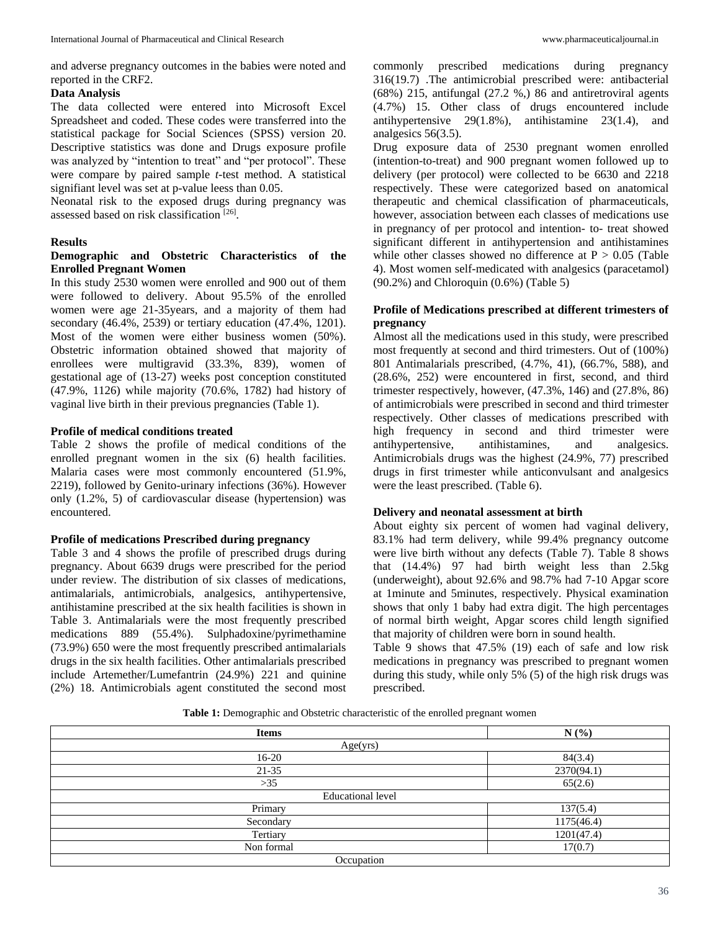and adverse pregnancy outcomes in the babies were noted and reported in the CRF2.

#### **Data Analysis**

The data collected were entered into Microsoft Excel Spreadsheet and coded. These codes were transferred into the statistical package for Social Sciences (SPSS) version 20. Descriptive statistics was done and Drugs exposure profile was analyzed by "intention to treat" and "per protocol". These were compare by paired sample *t*-test method. A statistical signifiant level was set at p-value leess than 0.05.

Neonatal risk to the exposed drugs during pregnancy was assessed based on risk classification [26].

#### **Results**

## **Demographic and Obstetric Characteristics of the Enrolled Pregnant Women**

In this study 2530 women were enrolled and 900 out of them were followed to delivery. About 95.5% of the enrolled women were age 21-35years, and a majority of them had secondary (46.4%, 2539) or tertiary education (47.4%, 1201). Most of the women were either business women (50%). Obstetric information obtained showed that majority of enrollees were multigravid (33.3%, 839), women of gestational age of (13-27) weeks post conception constituted (47.9%, 1126) while majority (70.6%, 1782) had history of vaginal live birth in their previous pregnancies (Table 1).

#### **Profile of medical conditions treated**

Table 2 shows the profile of medical conditions of the enrolled pregnant women in the six (6) health facilities. Malaria cases were most commonly encountered (51.9%, 2219), followed by Genito-urinary infections (36%). However only (1.2%, 5) of cardiovascular disease (hypertension) was encountered.

#### **Profile of medications Prescribed during pregnancy**

Table 3 and 4 shows the profile of prescribed drugs during pregnancy. About 6639 drugs were prescribed for the period under review. The distribution of six classes of medications, antimalarials, antimicrobials, analgesics, antihypertensive, antihistamine prescribed at the six health facilities is shown in Table 3. Antimalarials were the most frequently prescribed medications 889 (55.4%). Sulphadoxine/pyrimethamine (73.9%) 650 were the most frequently prescribed antimalarials drugs in the six health facilities. Other antimalarials prescribed include Artemether/Lumefantrin (24.9%) 221 and quinine (2%) 18. Antimicrobials agent constituted the second most

commonly prescribed medications during pregnancy 316(19.7) .The antimicrobial prescribed were: antibacterial (68%) 215, antifungal (27.2 %,) 86 and antiretroviral agents (4.7%) 15. Other class of drugs encountered include antihypertensive 29(1.8%), antihistamine 23(1.4), and analgesics 56(3.5).

Drug exposure data of 2530 pregnant women enrolled (intention-to-treat) and 900 pregnant women followed up to delivery (per protocol) were collected to be 6630 and 2218 respectively. These were categorized based on anatomical therapeutic and chemical classification of pharmaceuticals, however, association between each classes of medications use in pregnancy of per protocol and intention- to- treat showed significant different in antihypertension and antihistamines while other classes showed no difference at  $P > 0.05$  (Table 4). Most women self-medicated with analgesics (paracetamol) (90.2%) and Chloroquin (0.6%) (Table 5)

## **Profile of Medications prescribed at different trimesters of pregnancy**

Almost all the medications used in this study, were prescribed most frequently at second and third trimesters. Out of (100%) 801 Antimalarials prescribed, (4.7%, 41), (66.7%, 588), and (28.6%, 252) were encountered in first, second, and third trimester respectively, however,  $(47.3\%, 146)$  and  $(27.8\%, 86)$ of antimicrobials were prescribed in second and third trimester respectively. Other classes of medications prescribed with high frequency in second and third trimester were antihypertensive, antihistamines, and analgesics. Antimicrobials drugs was the highest (24.9%, 77) prescribed drugs in first trimester while anticonvulsant and analgesics were the least prescribed. (Table 6).

## **Delivery and neonatal assessment at birth**

About eighty six percent of women had vaginal delivery, 83.1% had term delivery, while 99.4% pregnancy outcome were live birth without any defects (Table 7). Table 8 shows that (14.4%) 97 had birth weight less than 2.5kg (underweight), about 92.6% and 98.7% had 7-10 Apgar score at 1minute and 5minutes, respectively. Physical examination shows that only 1 baby had extra digit. The high percentages of normal birth weight, Apgar scores child length signified that majority of children were born in sound health.

Table 9 shows that 47.5% (19) each of safe and low risk medications in pregnancy was prescribed to pregnant women during this study, while only 5% (5) of the high risk drugs was prescribed.

**Table 1:** Demographic and Obstetric characteristic of the enrolled pregnant women

| <b>Items</b>             | N(%)       |  |
|--------------------------|------------|--|
| Age(yrs)                 |            |  |
| $16-20$                  | 84(3.4)    |  |
| $21 - 35$                | 2370(94.1) |  |
| $>35$                    | 65(2.6)    |  |
| <b>Educational level</b> |            |  |
| Primary                  | 137(5.4)   |  |
| Secondary                | 1175(46.4) |  |
| Tertiary                 | 1201(47.4) |  |
| Non formal               | 17(0.7)    |  |
| Occupation               |            |  |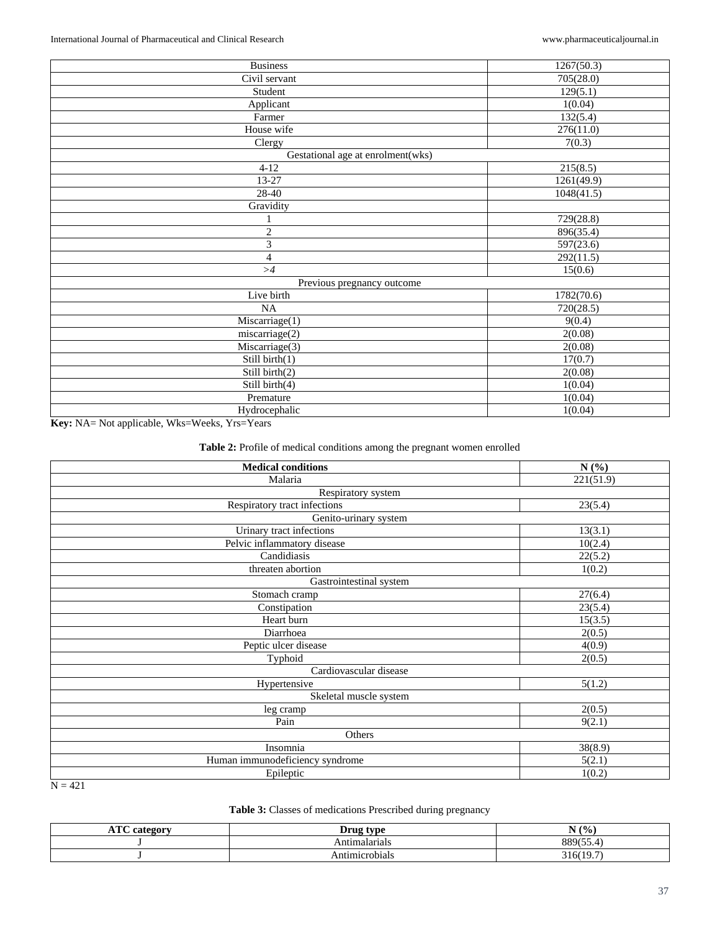| <b>Business</b>                   | 1267(50.3) |
|-----------------------------------|------------|
| Civil servant                     | 705(28.0)  |
| Student                           | 129(5.1)   |
| Applicant                         | 1(0.04)    |
| Farmer                            | 132(5.4)   |
| House wife                        | 276(11.0)  |
| Clergy                            | 7(0.3)     |
| Gestational age at enrolment(wks) |            |
| $4-12$                            | 215(8.5)   |
| 13-27                             | 1261(49.9) |
| 28-40                             | 1048(41.5) |
| Gravidity                         |            |
| 1                                 | 729(28.8)  |
| $\sqrt{2}$                        | 896(35.4)  |
| 3                                 | 597(23.6)  |
| $\overline{4}$                    | 292(11.5)  |
| >4                                | 15(0.6)    |
| Previous pregnancy outcome        |            |
| Live birth                        | 1782(70.6) |
| NA                                | 720(28.5)  |
| Miscarriage(1)                    | 9(0.4)     |
| miscarriage(2)                    | 2(0.08)    |
| Miscarriage(3)                    | 2(0.08)    |
| Still birth(1)                    | 17(0.7)    |
| Still birth(2)                    | 2(0.08)    |
| Still birth(4)                    | 1(0.04)    |
| Premature                         | 1(0.04)    |
| Hydrocephalic                     | 1(0.04)    |

**Key:** NA= Not applicable, Wks=Weeks, Yrs=Years

## **Table 2:** Profile of medical conditions among the pregnant women enrolled

| <b>Medical conditions</b>       | N(%)      |
|---------------------------------|-----------|
| Malaria                         | 221(51.9) |
| Respiratory system              |           |
| Respiratory tract infections    | 23(5.4)   |
| Genito-urinary system           |           |
| Urinary tract infections        | 13(3.1)   |
| Pelvic inflammatory disease     | 10(2.4)   |
| Candidiasis                     | 22(5.2)   |
| threaten abortion               | 1(0.2)    |
| Gastrointestinal system         |           |
| Stomach cramp                   | 27(6.4)   |
| Constipation                    | 23(5.4)   |
| Heart burn                      | 15(3.5)   |
| Diarrhoea                       | 2(0.5)    |
| Peptic ulcer disease            | 4(0.9)    |
| Typhoid                         | 2(0.5)    |
| Cardiovascular disease          |           |
| Hypertensive                    | 5(1.2)    |
| Skeletal muscle system          |           |
| leg cramp                       | 2(0.5)    |
| Pain                            | 9(2.1)    |
| Others                          |           |
| Insomnia                        | 38(8.9)   |
| Human immunodeficiency syndrome | 5(2.1)    |
| Epileptic                       | 1(0.2)    |

 $N = 421$ 

## **Table 3:** Classes of medications Prescribed during pregnancy

| $T^{\prime}$<br>00000<br>mm<br>$\overline{1}$ | leua twa<br>.<br>יע | N(%)                               |
|-----------------------------------------------|---------------------|------------------------------------|
|                                               | `ntımalarıals       | 000<br>$\sim$ $\sim$ $\sim$ $\sim$ |
|                                               | шаб                 | $\sim$<br>21 A<br>JI U<br><u>.</u> |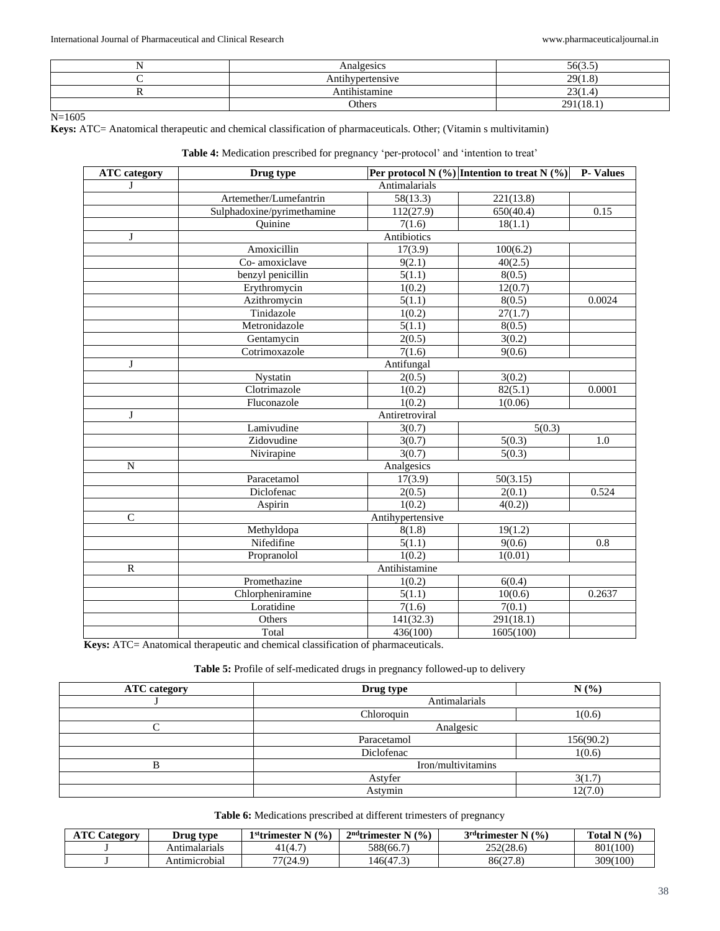| Analgesics             | 56(3.5)   |
|------------------------|-----------|
| Antihypertensive       | 29(1.8)   |
| <br>.<br>Antıhıstamıne | 23(1.4)   |
| Others                 | 291(18.1) |

N=1605

**Keys:** ATC= Anatomical therapeutic and chemical classification of pharmaceuticals. Other; (Vitamin s multivitamin)

**Table 4:** Medication prescribed for pregnancy 'per-protocol' and 'intention to treat'

| <b>ATC</b> category | Drug type                  |                  | Per protocol N $(\%)$ Intention to treat N $(\%)$ | <b>P-Values</b> |
|---------------------|----------------------------|------------------|---------------------------------------------------|-----------------|
| J                   | Antimalarials              |                  |                                                   |                 |
|                     | Artemether/Lumefantrin     | 58(13.3)         | 221(13.8)                                         |                 |
|                     | Sulphadoxine/pyrimethamine | 112(27.9)        | 650(40.4)                                         | 0.15            |
|                     | Quinine                    | 7(1.6)           | 18(1.1)                                           |                 |
| J                   |                            | Antibiotics      |                                                   |                 |
|                     | Amoxicillin                | 17(3.9)          | 100(6.2)                                          |                 |
|                     | Co-amoxiclave              | 9(2.1)           | 40(2.5)                                           |                 |
|                     | benzyl penicillin          | 5(1.1)           | 8(0.5)                                            |                 |
|                     | Erythromycin               | 1(0.2)           | 12(0.7)                                           |                 |
|                     | Azithromycin               | 5(1.1)           | 8(0.5)                                            | 0.0024          |
|                     | Tinidazole                 | 1(0.2)           | 27(1.7)                                           |                 |
|                     | Metronidazole              | 5(1.1)           | 8(0.5)                                            |                 |
|                     | Gentamycin                 | 2(0.5)           | 3(0.2)                                            |                 |
|                     | Cotrimoxazole              | 7(1.6)           | 9(0.6)                                            |                 |
| $\mathbf{J}$        |                            | Antifungal       |                                                   |                 |
|                     | Nystatin                   | 2(0.5)           | 3(0.2)                                            |                 |
|                     | Clotrimazole               | 1(0.2)           | 82(5.1)                                           | 0.0001          |
|                     | Fluconazole                | 1(0.2)           | 1(0.06)                                           |                 |
| J                   | Antiretroviral             |                  |                                                   |                 |
|                     | Lamivudine                 | 3(0.7)           | 5(0.3)                                            |                 |
|                     | Zidovudine                 | 3(0.7)           | 5(0.3)                                            | 1.0             |
|                     | Nivirapine                 | 3(0.7)           | 5(0.3)                                            |                 |
| $\overline{N}$      | Analgesics                 |                  |                                                   |                 |
|                     | Paracetamol                | 17(3.9)          | 50(3.15)                                          |                 |
|                     | Diclofenac                 | 2(0.5)           | 2(0.1)                                            | 0.524           |
|                     | Aspirin                    | 1(0.2)           | 4(0.2)                                            |                 |
| $\mathbf C$         |                            | Antihypertensive |                                                   |                 |
|                     | Methyldopa                 | 8(1.8)           | 19(1.2)                                           |                 |
|                     | Nifedifine                 | 5(1.1)           | 9(0.6)                                            | 0.8             |
|                     | Propranolol                | 1(0.2)           | 1(0.01)                                           |                 |
| $\mathbb{R}$        |                            | Antihistamine    |                                                   |                 |
|                     | Promethazine               | 1(0.2)           | 6(0.4)                                            |                 |
|                     | Chlorpheniramine           | 5(1.1)           | 10(0.6)                                           | 0.2637          |
|                     | Loratidine                 | 7(1.6)           | 7(0.1)                                            |                 |
|                     | <b>Others</b>              | 141(32.3)        | 291(18.1)                                         |                 |
|                     | Total                      | 436(100)         | 1605(100)                                         |                 |

**Keys:** ATC= Anatomical therapeutic and chemical classification of pharmaceuticals.

**Table 5:** Profile of self-medicated drugs in pregnancy followed-up to delivery

| <b>ATC</b> category | Drug type          | N(%)      |
|---------------------|--------------------|-----------|
|                     | Antimalarials      |           |
|                     | Chloroquin         | 1(0.6)    |
|                     | Analgesic          |           |
|                     | Paracetamol        | 156(90.2) |
|                     | Diclofenac         | 1(0.6)    |
|                     | Iron/multivitamins |           |
|                     | Astyfer            | 3(1.7)    |
|                     | Astymin            | 12(7.0)   |

**Table 6:** Medications prescribed at different trimesters of pregnancy

| <b>ATC Category</b> | Drug type     | 1 <sup>st</sup> trimester N $(% )$ | $2nd$ trimester N $(%)$ | $3^{\text{rd}}$ trimester 1<br>(% | Total N $(%)$ |
|---------------------|---------------|------------------------------------|-------------------------|-----------------------------------|---------------|
|                     | Antımalarıals | 41(4.7)                            | 588(66.7)               | 252(28.6)                         | 801(100)      |
|                     | Antımıcrobıal | 77(24.9)                           | 146(47.3)               | 86(27.8)                          | 309(100)      |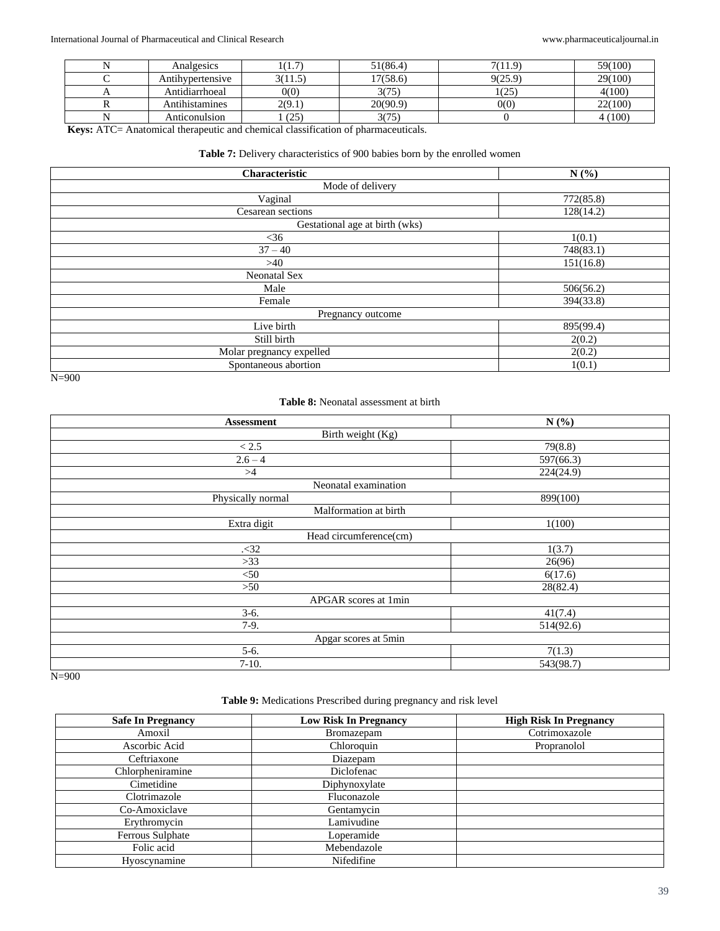| Analgesics       | (1.7)   | 51(86.4) | 7(11.9) | 59(100) |
|------------------|---------|----------|---------|---------|
| Antihvpertensive | 3(11.5) | 17(58.6) | 9(25.9) | 29(100) |
| Antidiarrhoeal   | 0(0)    | 3075     | (25)    | 4(100)  |
| Antihistamines   | 2(9.1)  | 20(90.9) | 0(0)    | 22(100) |
| Anticonulsion    | (25)    | 3(75)    |         | (100)   |

**Keys:** ATC= Anatomical therapeutic and chemical classification of pharmaceuticals.

## **Table 7:** Delivery characteristics of 900 babies born by the enrolled women

| Characteristic                 | N(%)      |  |
|--------------------------------|-----------|--|
| Mode of delivery               |           |  |
| Vaginal                        | 772(85.8) |  |
| Cesarean sections              | 128(14.2) |  |
| Gestational age at birth (wks) |           |  |
| $<$ 36                         | 1(0.1)    |  |
| $37 - 40$                      | 748(83.1) |  |
| >40                            | 151(16.8) |  |
| <b>Neonatal Sex</b>            |           |  |
| Male                           | 506(56.2) |  |
| Female                         | 394(33.8) |  |
| Pregnancy outcome              |           |  |
| Live birth                     | 895(99.4) |  |
| Still birth                    | 2(0.2)    |  |
| Molar pregnancy expelled       | 2(0.2)    |  |
| Spontaneous abortion           | 1(0.1)    |  |

N=900

## **Table 8:** Neonatal assessment at birth

| <b>Assessment</b>      | N(%)      |  |  |  |
|------------------------|-----------|--|--|--|
| Birth weight (Kg)      |           |  |  |  |
| $<2.5\,$               | 79(8.8)   |  |  |  |
| $2.6 - 4$              | 597(66.3) |  |  |  |
| >4                     | 224(24.9) |  |  |  |
| Neonatal examination   |           |  |  |  |
| Physically normal      | 899(100)  |  |  |  |
| Malformation at birth  |           |  |  |  |
| Extra digit            | 1(100)    |  |  |  |
| Head circumference(cm) |           |  |  |  |
| .32                    | 1(3.7)    |  |  |  |
| $>33$                  | 26(96)    |  |  |  |
| $<$ 50                 | 6(17.6)   |  |  |  |
| >50                    | 28(82.4)  |  |  |  |
| APGAR scores at 1min   |           |  |  |  |
| $3-6.$                 | 41(7.4)   |  |  |  |
| $7-9.$                 | 514(92.6) |  |  |  |
| Apgar scores at 5min   |           |  |  |  |
| $5-6.$                 | 7(1.3)    |  |  |  |
| $7-10.$                | 543(98.7) |  |  |  |

N=900

#### **Table 9:** Medications Prescribed during pregnancy and risk level

| <b>Safe In Pregnancy</b> | <b>Low Risk In Pregnancy</b> | <b>High Risk In Pregnancy</b> |
|--------------------------|------------------------------|-------------------------------|
| Amoxil                   | Bromazepam                   | Cotrimoxazole                 |
| Ascorbic Acid            | Chloroquin                   | Propranolol                   |
| Ceftriaxone              | Diazepam                     |                               |
| Chlorpheniramine         | Diclofenac                   |                               |
| Cimetidine               | Diphynoxylate                |                               |
| Clotrimazole             | Fluconazole                  |                               |
| Co-Amoxiclave            | Gentamycin                   |                               |
| Erythromycin             | Lamivudine                   |                               |
| <b>Ferrous Sulphate</b>  | Loperamide                   |                               |
| Folic acid               | Mebendazole                  |                               |
| Hyoscynamine             | Nifedifine                   |                               |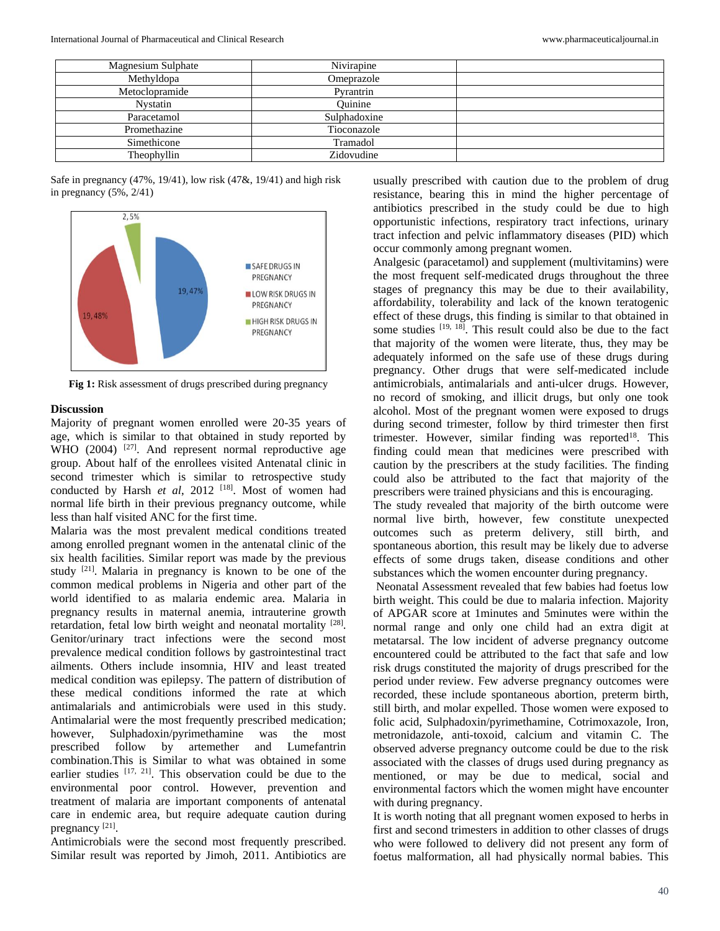| Magnesium Sulphate | Nivirapine   |  |
|--------------------|--------------|--|
| Methyldopa         | Omeprazole   |  |
| Metoclopramide     | Pyrantrin    |  |
| Nystatin           | Ouinine      |  |
| Paracetamol        | Sulphadoxine |  |
| Promethazine       | Tioconazole  |  |
| Simethicone        | Tramadol     |  |
| Theophyllin        | Zidovudine   |  |

Safe in pregnancy (47%, 19/41), low risk (47&, 19/41) and high risk in pregnancy (5%, 2/41)



**Fig 1:** Risk assessment of drugs prescribed during pregnancy

#### **Discussion**

Majority of pregnant women enrolled were 20-35 years of age, which is similar to that obtained in study reported by WHO (2004) <sup>[27]</sup>. And represent normal reproductive age group. About half of the enrollees visited Antenatal clinic in second trimester which is similar to retrospective study conducted by Harsh et al, 2012 <sup>[18]</sup>. Most of women had normal life birth in their previous pregnancy outcome, while less than half visited ANC for the first time.

Malaria was the most prevalent medical conditions treated among enrolled pregnant women in the antenatal clinic of the six health facilities. Similar report was made by the previous study <sup>[21]</sup>. Malaria in pregnancy is known to be one of the common medical problems in Nigeria and other part of the world identified to as malaria endemic area. Malaria in pregnancy results in maternal anemia, intrauterine growth retardation, fetal low birth weight and neonatal mortality  $[28]$ . Genitor/urinary tract infections were the second most prevalence medical condition follows by gastrointestinal tract ailments. Others include insomnia, HIV and least treated medical condition was epilepsy. The pattern of distribution of these medical conditions informed the rate at which antimalarials and antimicrobials were used in this study. Antimalarial were the most frequently prescribed medication; however, Sulphadoxin/pyrimethamine was the most prescribed follow by artemether and Lumefantrin combination.This is Similar to what was obtained in some earlier studies [17, 21]. This observation could be due to the environmental poor control. However, prevention and treatment of malaria are important components of antenatal care in endemic area, but require adequate caution during pregnancy<sup>[21]</sup>.

Antimicrobials were the second most frequently prescribed. Similar result was reported by Jimoh, 2011. Antibiotics are usually prescribed with caution due to the problem of drug resistance, bearing this in mind the higher percentage of antibiotics prescribed in the study could be due to high opportunistic infections, respiratory tract infections, urinary tract infection and pelvic inflammatory diseases (PID) which occur commonly among pregnant women.

Analgesic (paracetamol) and supplement (multivitamins) were the most frequent self-medicated drugs throughout the three stages of pregnancy this may be due to their availability, affordability, tolerability and lack of the known teratogenic effect of these drugs, this finding is similar to that obtained in some studies  $[19, 18]$ . This result could also be due to the fact that majority of the women were literate, thus, they may be adequately informed on the safe use of these drugs during pregnancy. Other drugs that were self-medicated include antimicrobials, antimalarials and anti-ulcer drugs. However, no record of smoking, and illicit drugs, but only one took alcohol. Most of the pregnant women were exposed to drugs during second trimester, follow by third trimester then first trimester. However, similar finding was reported<sup>18</sup>. This finding could mean that medicines were prescribed with caution by the prescribers at the study facilities. The finding could also be attributed to the fact that majority of the prescribers were trained physicians and this is encouraging.

The study revealed that majority of the birth outcome were normal live birth, however, few constitute unexpected outcomes such as preterm delivery, still birth, and spontaneous abortion, this result may be likely due to adverse effects of some drugs taken, disease conditions and other substances which the women encounter during pregnancy.

Neonatal Assessment revealed that few babies had foetus low birth weight. This could be due to malaria infection. Majority of APGAR score at 1minutes and 5minutes were within the normal range and only one child had an extra digit at metatarsal. The low incident of adverse pregnancy outcome encountered could be attributed to the fact that safe and low risk drugs constituted the majority of drugs prescribed for the period under review. Few adverse pregnancy outcomes were recorded, these include spontaneous abortion, preterm birth, still birth, and molar expelled. Those women were exposed to folic acid, Sulphadoxin/pyrimethamine, Cotrimoxazole, Iron, metronidazole, anti-toxoid, calcium and vitamin C. The observed adverse pregnancy outcome could be due to the risk associated with the classes of drugs used during pregnancy as mentioned, or may be due to medical, social and environmental factors which the women might have encounter with during pregnancy.

It is worth noting that all pregnant women exposed to herbs in first and second trimesters in addition to other classes of drugs who were followed to delivery did not present any form of foetus malformation, all had physically normal babies. This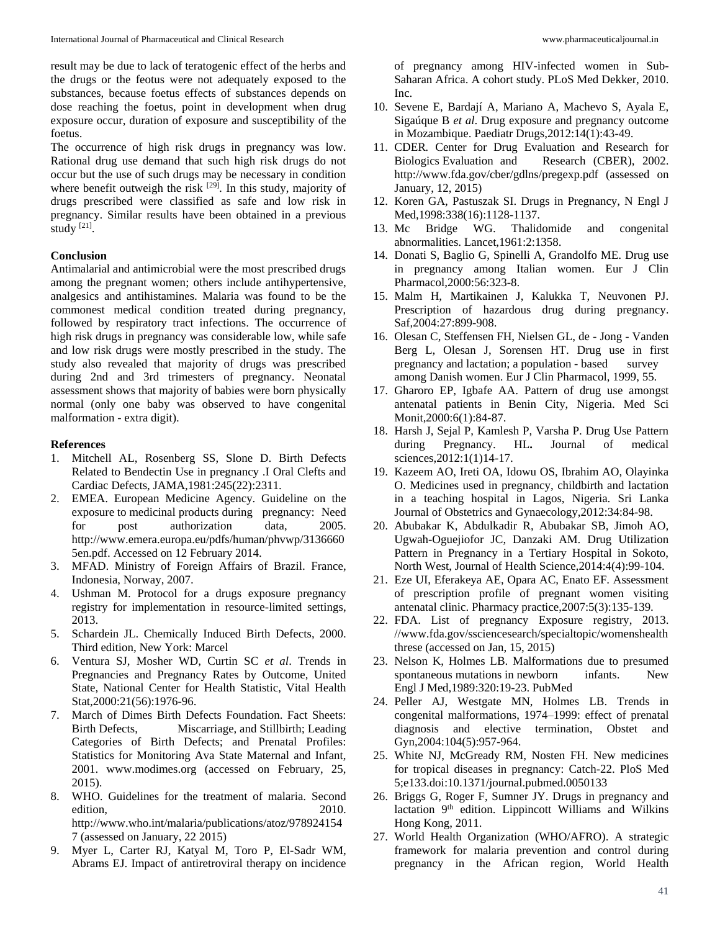result may be due to lack of teratogenic effect of the herbs and the drugs or the feotus were not adequately exposed to the substances, because foetus effects of substances depends on dose reaching the foetus, point in development when drug exposure occur, duration of exposure and susceptibility of the foetus.

The occurrence of high risk drugs in pregnancy was low. Rational drug use demand that such high risk drugs do not occur but the use of such drugs may be necessary in condition where benefit outweigh the risk <sup>[29]</sup>. In this study, majority of drugs prescribed were classified as safe and low risk in pregnancy. Similar results have been obtained in a previous study [21].

## **Conclusion**

Antimalarial and antimicrobial were the most prescribed drugs among the pregnant women; others include antihypertensive, analgesics and antihistamines. Malaria was found to be the commonest medical condition treated during pregnancy, followed by respiratory tract infections. The occurrence of high risk drugs in pregnancy was considerable low, while safe and low risk drugs were mostly prescribed in the study. The study also revealed that majority of drugs was prescribed during 2nd and 3rd trimesters of pregnancy. Neonatal assessment shows that majority of babies were born physically normal (only one baby was observed to have congenital malformation - extra digit).

#### **References**

- 1. Mitchell AL, Rosenberg SS, Slone D. Birth Defects Related to Bendectin Use in pregnancy .I Oral Clefts and Cardiac Defects, JAMA,1981:245(22):2311.
- 2. EMEA. European Medicine Agency. Guideline on the exposure to medicinal products during pregnancy: Need for post authorization data, 2005. http://www.emera.europa.eu/pdfs/human/phvwp/3136660 5en.pdf. Accessed on 12 February 2014.
- 3. MFAD. Ministry of Foreign Affairs of Brazil. France, Indonesia, Norway, 2007.
- 4. Ushman M. Protocol for a drugs exposure pregnancy registry for implementation in resource-limited settings, 2013.
- 5. Schardein JL. Chemically Induced Birth Defects, 2000. Third edition, New York: Marcel
- 6. Ventura SJ, Mosher WD, Curtin SC *et al*. Trends in Pregnancies and Pregnancy Rates by Outcome, United State, National Center for Health Statistic, Vital Health Stat,2000:21(56):1976-96.
- 7. March of Dimes Birth Defects Foundation. Fact Sheets: Birth Defects, Miscarriage, and Stillbirth; Leading Categories of Birth Defects; and Prenatal Profiles: Statistics for Monitoring Ava State Maternal and Infant, 2001. www.modimes.org (accessed on February, 25, 2015).
- 8. WHO. Guidelines for the treatment of malaria. Second edition, 2010. http://www.who.int/malaria/publications/atoz/978924154 7 (assessed on January, 22 2015)
- 9. Myer L, Carter RJ, Katyal M, Toro P, El-Sadr WM, Abrams EJ. Impact of antiretroviral therapy on incidence

of pregnancy among HIV-infected women in Sub**-**Saharan Africa. A cohort study. PLoS Med Dekker, 2010. Inc.

- 10. Sevene E, Bardají A, Mariano A, Machevo S, Ayala E, Sigaúque B *et al*. Drug exposure and pregnancy outcome in Mozambique. Paediatr Drugs,2012:14(1):43-49.
- 11. CDER*.* Center for Drug Evaluation and Research for Biologics Evaluation and Research (CBER), 2002. http://www.fda.gov/cber/gdlns/pregexp.pdf (assessed on January, 12, 2015)
- 12. Koren GA, Pastuszak SI. Drugs in Pregnancy, N Engl J Med,1998:338(16):1128-1137.
- 13. Mc Bridge WG. Thalidomide and congenital abnormalities. Lancet,1961:2:1358.
- 14. Donati S, Baglio G, Spinelli A, Grandolfo ME. Drug use in pregnancy among Italian women. Eur J Clin Pharmacol,2000:56:323-8.
- 15. Malm H, Martikainen J, Kalukka T, Neuvonen PJ. Prescription of hazardous drug during pregnancy. Saf,2004:27:899-908.
- 16. Olesan C, Steffensen FH, Nielsen GL, de Jong Vanden Berg L, Olesan J, Sorensen HT. Drug use in first pregnancy and lactation; a population - based survey among Danish women. Eur J Clin Pharmacol, 1999, 55.
- 17. Gharoro EP, Igbafe AA. Pattern of drug use amongst antenatal patients in Benin City, Nigeria. Med Sci Monit, 2000: 6(1): 84-87.
- 18. Harsh J, Sejal P, Kamlesh P, Varsha P. Drug Use Pattern during Pregnancy. HL**.** Journal of medical sciences,2012:1(1)14-17.
- 19. Kazeem AO, Ireti OA, Idowu OS, Ibrahim AO, Olayinka O. Medicines used in pregnancy, childbirth and lactation in a teaching hospital in Lagos, Nigeria. Sri Lanka Journal of Obstetrics and Gynaecology,2012:34:84-98.
- 20. Abubakar K, Abdulkadir R, Abubakar SB, Jimoh AO, Ugwah-Oguejiofor JC, Danzaki AM. Drug Utilization Pattern in Pregnancy in a Tertiary Hospital in Sokoto, North West, Journal of Health Science,2014:4(4):99-104.
- 21. Eze UI, Eferakeya AE, Opara AC, Enato EF. Assessment of prescription profile of pregnant women visiting antenatal clinic. Pharmacy practice,2007:5(3):135-139.
- 22. FDA. List of pregnancy Exposure registry, 2013. //www.fda.gov/ssciencesearch/specialtopic/womenshealth threse (accessed on Jan, 15, 2015)
- 23. Nelson K, Holmes LB. Malformations due to presumed spontaneous mutations in newborn infants. New Engl J Med,1989:320:19-23. PubMed
- 24. Peller AJ, Westgate MN, Holmes LB. Trends in congenital malformations, 1974–1999: effect of prenatal diagnosis and elective termination, Obstet and Gyn,2004:104(5):957-964.
- 25. White NJ, McGready RM, Nosten FH. New medicines for tropical diseases in pregnancy: Catch-22. PloS Med 5;e133.doi:10.1371/journal.pubmed.0050133
- 26. Briggs G, Roger F, Sumner JY. Drugs in pregnancy and lactation 9<sup>th</sup> edition. Lippincott Williams and Wilkins Hong Kong, 2011.
- 27. World Health Organization (WHO/AFRO). A strategic framework for malaria prevention and control during pregnancy in the African region, World Health